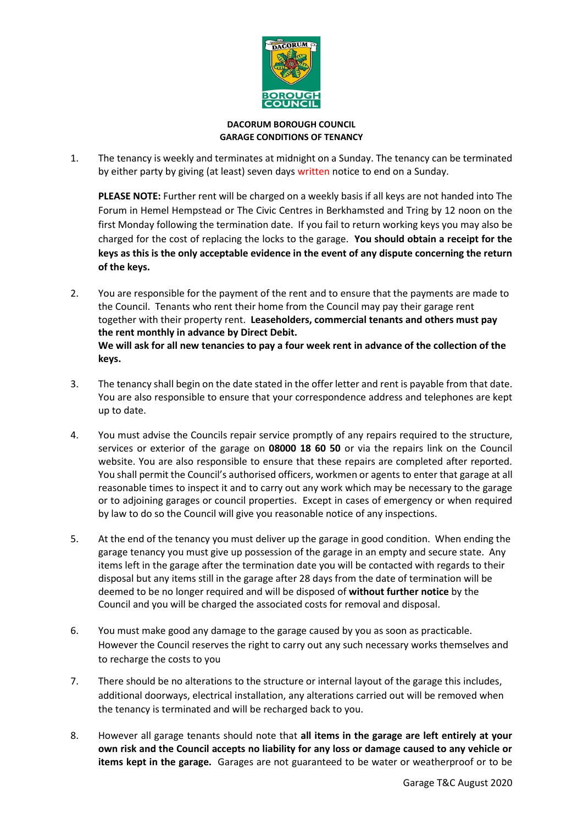

## **DACORUM BOROUGH COUNCIL GARAGE CONDITIONS OF TENANCY**

1. The tenancy is weekly and terminates at midnight on a Sunday. The tenancy can be terminated by either party by giving (at least) seven days written notice to end on a Sunday.

**PLEASE NOTE:** Further rent will be charged on a weekly basis if all keys are not handed into The Forum in Hemel Hempstead or The Civic Centres in Berkhamsted and Tring by 12 noon on the first Monday following the termination date. If you fail to return working keys you may also be charged for the cost of replacing the locks to the garage. **You should obtain a receipt for the keys as this is the only acceptable evidence in the event of any dispute concerning the return of the keys.**

- 2. You are responsible for the payment of the rent and to ensure that the payments are made to the Council. Tenants who rent their home from the Council may pay their garage rent together with their property rent. **Leaseholders, commercial tenants and others must pay the rent monthly in advance by Direct Debit. We will ask for all new tenancies to pay a four week rent in advance of the collection of the keys.**
- 3. The tenancy shall begin on the date stated in the offer letter and rent is payable from that date. You are also responsible to ensure that your correspondence address and telephones are kept up to date.
- 4. You must advise the Councils repair service promptly of any repairs required to the structure, services or exterior of the garage on **08000 18 60 50** or via the repairs link on the Council website. You are also responsible to ensure that these repairs are completed after reported. You shall permit the Council's authorised officers, workmen or agents to enter that garage at all reasonable times to inspect it and to carry out any work which may be necessary to the garage or to adjoining garages or council properties.Except in cases of emergency or when required by law to do so the Council will give you reasonable notice of any inspections.
- 5. At the end of the tenancy you must deliver up the garage in good condition. When ending the garage tenancy you must give up possession of the garage in an empty and secure state. Any items left in the garage after the termination date you will be contacted with regards to their disposal but any items still in the garage after 28 days from the date of termination will be deemed to be no longer required and will be disposed of **without further notice** by the Council and you will be charged the associated costs for removal and disposal.
- 6. You must make good any damage to the garage caused by you as soon as practicable. However the Council reserves the right to carry out any such necessary works themselves and to recharge the costs to you
- 7. There should be no alterations to the structure or internal layout of the garage this includes, additional doorways, electrical installation, any alterations carried out will be removed when the tenancy is terminated and will be recharged back to you.
- 8. However all garage tenants should note that **all items in the garage are left entirely at your own risk and the Council accepts no liability for any loss or damage caused to any vehicle or items kept in the garage.** Garages are not guaranteed to be water or weatherproof or to be